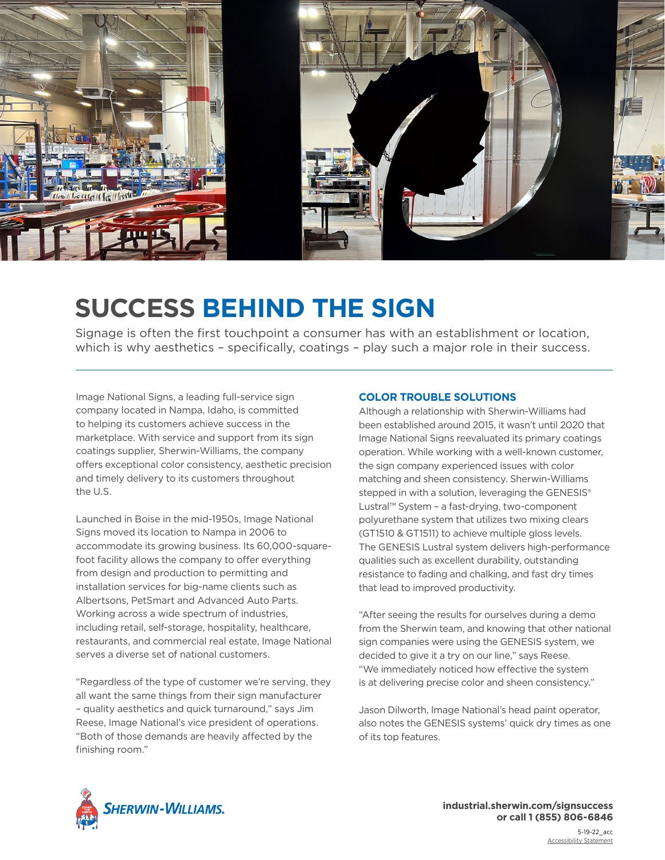

## **SUCCESS BEHIND THE SIGN**

Signage is often the first touchpoint a consumer has with an establishment or location, which is why aesthetics – specifically, coatings – play such a major role in their success.

Image National Signs, a leading full-service sign company located in Nampa, Idaho, is committed to helping its customers achieve success in the marketplace. With service and support from its sign coatings supplier, Sherwin-Williams, the company offers exceptional color consistency, aesthetic precision and timely delivery to its customers throughout the U.S.

Launched in Boise in the mid-1950s, Image National Signs moved its location to Nampa in 2006 to accommodate its growing business. Its 60,000-squarefoot facility allows the company to offer everything from design and production to permitting and installation services for big-name clients such as Albertsons, PetSmart and Advanced Auto Parts. Working across a wide spectrum of industries, including retail, self-storage, hospitality, healthcare, restaurants, and commercial real estate, Image National serves a diverse set of national customers.

"Regardless of the type of customer we're serving, they all want the same things from their sign manufacturer – quality aesthetics and quick turnaround," says Jim Reese, Image National's vice president of operations. "Both of those demands are heavily affected by the finishing room."

## **COLOR TROUBLE SOLUTIONS**

Although a relationship with Sherwin-Williams had been established around 2015, it wasn't until 2020 that Image National Signs reevaluated its primary coatings operation. While working with a well-known customer, the sign company experienced issues with color matching and sheen consistency. Sherwin-Williams stepped in with a solution, leveraging the GENESIS<sup>®</sup> Lustral™ System – a fast-drying, two-component polyurethane system that utilizes two mixing clears (GT1510 & GT1511) to achieve multiple gloss levels. The GENESIS Lustral system delivers high-performance qualities such as excellent durability, outstanding resistance to fading and chalking, and fast dry times that lead to improved productivity.

"After seeing the results for ourselves during a demo from the Sherwin team, and knowing that other national sign companies were using the GENESIS system, we decided to give it a try on our line," says Reese. "We immediately noticed how effective the system is at delivering precise color and sheen consistency."

Jason Dilworth, Image National's head paint operator, also notes the GENESIS systems' quick dry times as one of its top features.



 **industrial.sherwin.com/signsuccess or call 1 (855) 806-6846**